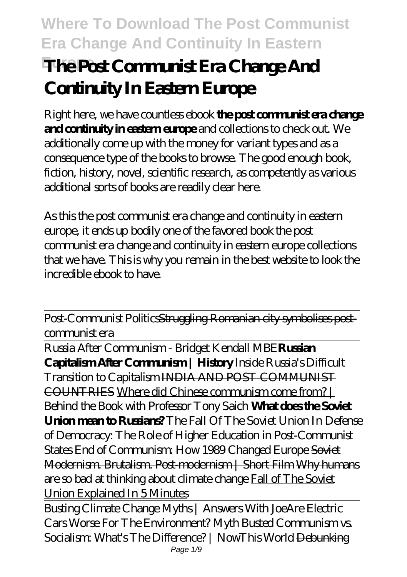# **Where To Download The Post Communist Era Change And Continuity In Eastern The Post Communist Era Change And Continuity In Eastern Europe**

Right here, we have countless ebook **the post communist era change and continuity in eastern europe** and collections to check out. We additionally come up with the money for variant types and as a consequence type of the books to browse. The good enough book, fiction, history, novel, scientific research, as competently as various additional sorts of books are readily clear here.

As this the post communist era change and continuity in eastern europe, it ends up bodily one of the favored book the post communist era change and continuity in eastern europe collections that we have. This is why you remain in the best website to look the incredible ebook to have.

Post-Communist PoliticsStruggling Romanian city symbolises postcommunist era

Russia After Communism - Bridget Kendall MBE**Russian Capitalism After Communism | History** Inside Russia's Difficult Transition to Capitalism INDIA AND POST COMMUNIST COUNTRIES Where did Chinese communism come from? | Behind the Book with Professor Tony Saich **What does the Soviet Union mean to Russians?** *The Fall Of The Soviet Union* In Defense of Democracy: The Role of Higher Education in Post-Communist States End of Communism: How 1989 Changed Europe Soviet Modernism. Brutalism. Post-modernism | Short Film Why humans are so bad at thinking about climate change Fall of The Soviet Union Explained In 5 Minutes

Busting Climate Change Myths | Answers With Joe*Are Electric Cars Worse For The Environment? Myth Busted* Communism vs. Socialism: What's The Difference? | NowThis World <del>Debunking</del> Page  $1/9$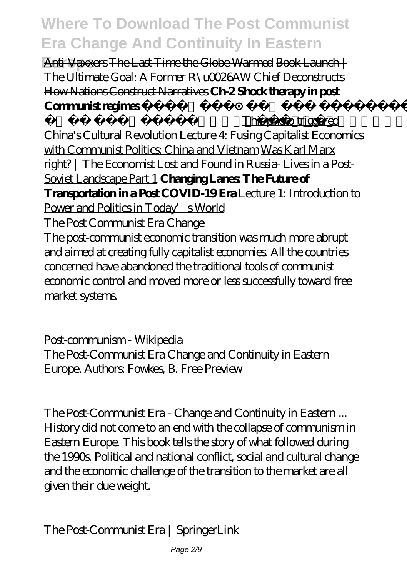**Anti-Vaxxers The Last Time the Globe Warmed Book Launch** | The Ultimate Goal: A Former R\u0026AW Chief Deconstructs How Nations Construct Narratives **Ch-2 Shock therapy in post Communist regimes** 

das 12th political This photo triggered China's Cultural Revolution Lecture 4: Fusing Capitalist Economics with Communist Politics: China and Vietnam Was Karl Marx right? | The Economist Lost and Found in Russia- Lives in a Post-Soviet Landscape Part 1 **Changing Lanes The Future of Transportation in a Post COVID-19 Era** Lecture 1: Introduction to Power and Politics in Today's World

The Post Communist Era Change

The post-communist economic transition was much more abrupt and aimed at creating fully capitalist economies. All the countries concerned have abandoned the traditional tools of communist economic control and moved more or less successfully toward free market systems.

Post-communism - Wikipedia The Post-Communist Era Change and Continuity in Eastern Europe. Authors: Fowkes, B. Free Preview

The Post-Communist Era - Change and Continuity in Eastern ... History did not come to an end with the collapse of communism in Eastern Europe. This book tells the story of what followed during the 1990s. Political and national conflict, social and cultural change and the economic challenge of the transition to the market are all given their due weight.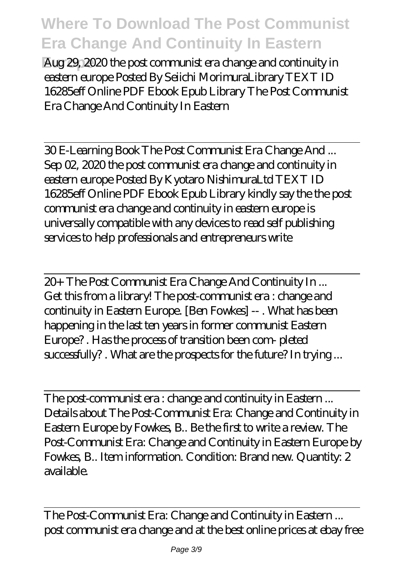**Europe** Aug 29, 2020 the post communist era change and continuity in eastern europe Posted By Seiichi MorimuraLibrary TEXT ID 16285eff Online PDF Ebook Epub Library The Post Communist Era Change And Continuity In Eastern

30 E-Learning Book The Post Communist Era Change And ... Sep 02, 2020 the post communist era change and continuity in eastern europe Posted By Kyotaro NishimuraLtd TEXT ID 16285eff Online PDF Ebook Epub Library kindly say the the post communist era change and continuity in eastern europe is universally compatible with any devices to read self publishing services to help professionals and entrepreneurs write

20+ The Post Communist Era Change And Continuity In ... Get this from a library! The post-communist era : change and continuity in Eastern Europe. [Ben Fowkes] -- . What has been happening in the last ten years in former communist Eastern Europe? . Has the process of transition been com- pleted successfully? . What are the prospects for the future? In trying ...

The post-communist era : change and continuity in Eastern ... Details about The Post-Communist Era: Change and Continuity in Eastern Europe by Fowkes, B.. Be the first to write a review. The Post-Communist Era: Change and Continuity in Eastern Europe by Fowkes, B.. Item information. Condition: Brand new. Quantity: 2 available.

The Post-Communist Era: Change and Continuity in Eastern ... post communist era change and at the best online prices at ebay free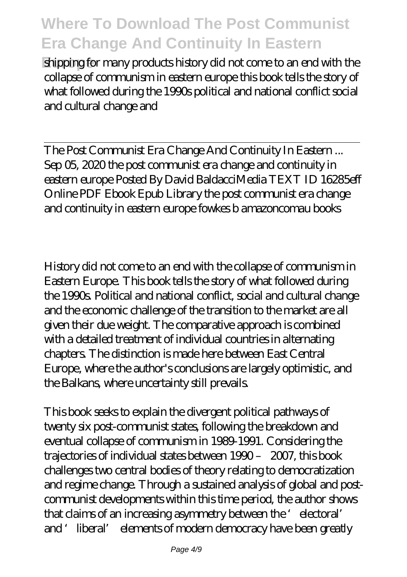**Europing** for many products history did not come to an end with the collapse of communism in eastern europe this book tells the story of what followed during the 1990s political and national conflict social and cultural change and

The Post Communist Era Change And Continuity In Eastern ... Sep 05, 2020 the post communist era change and continuity in eastern europe Posted By David BaldacciMedia TEXT ID 16285eff Online PDF Ebook Epub Library the post communist era change and continuity in eastern europe fowkes b amazoncomau books

History did not come to an end with the collapse of communism in Eastern Europe. This book tells the story of what followed during the 1990s. Political and national conflict, social and cultural change and the economic challenge of the transition to the market are all given their due weight. The comparative approach is combined with a detailed treatment of individual countries in alternating chapters. The distinction is made here between East Central Europe, where the author's conclusions are largely optimistic, and the Balkans, where uncertainty still prevails.

This book seeks to explain the divergent political pathways of twenty six post-communist states, following the breakdown and eventual collapse of communism in 1989-1991. Considering the trajectories of individual states between 1990 – 2007, this book challenges two central bodies of theory relating to democratization and regime change. Through a sustained analysis of global and postcommunist developments within this time period, the author shows that claims of an increasing asymmetry between the 'electoral' and 'liberal' elements of modern democracy have been greatly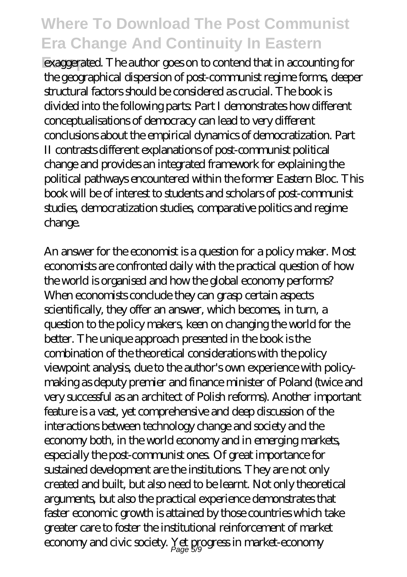**Europe** exaggerated. The author goes on to contend that in accounting for the geographical dispersion of post-communist regime forms, deeper structural factors should be considered as crucial. The book is divided into the following parts: Part I demonstrates how different conceptualisations of democracy can lead to very different conclusions about the empirical dynamics of democratization. Part II contrasts different explanations of post-communist political change and provides an integrated framework for explaining the political pathways encountered within the former Eastern Bloc. This book will be of interest to students and scholars of post-communist studies, democratization studies, comparative politics and regime change.

An answer for the economist is a question for a policy maker. Most economists are confronted daily with the practical question of how the world is organised and how the global economy performs? When economists conclude they can grasp certain aspects scientifically, they offer an answer, which becomes, in turn, a question to the policy makers, keen on changing the world for the better. The unique approach presented in the book is the combination of the theoretical considerations with the policy viewpoint analysis, due to the author's own experience with policymaking as deputy premier and finance minister of Poland (twice and very successful as an architect of Polish reforms). Another important feature is a vast, yet comprehensive and deep discussion of the interactions between technology change and society and the economy both, in the world economy and in emerging markets, especially the post-communist ones. Of great importance for sustained development are the institutions. They are not only created and built, but also need to be learnt. Not only theoretical arguments, but also the practical experience demonstrates that faster economic growth is attained by those countries which take greater care to foster the institutional reinforcement of market economy and civic society. Yet progress in market-economy Page 5/9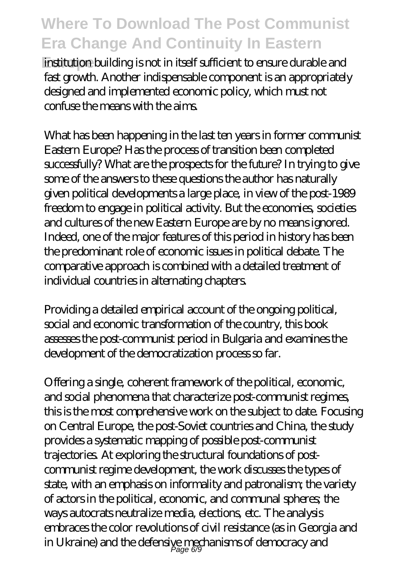**Europe** institution building is not in itself sufficient to ensure durable and fast growth. Another indispensable component is an appropriately designed and implemented economic policy, which must not confuse the means with the aims.

What has been happening in the last ten years in former communist Eastern Europe? Has the process of transition been completed successfully? What are the prospects for the future? In trying to give some of the answers to these questions the author has naturally given political developments a large place, in view of the post-1989 freedom to engage in political activity. But the economies, societies and cultures of the new Eastern Europe are by no means ignored. Indeed, one of the major features of this period in history has been the predominant role of economic issues in political debate. The comparative approach is combined with a detailed treatment of individual countries in alternating chapters.

Providing a detailed empirical account of the ongoing political, social and economic transformation of the country, this book assesses the post-communist period in Bulgaria and examines the development of the democratization process so far.

Offering a single, coherent framework of the political, economic, and social phenomena that characterize post-communist regimes, this is the most comprehensive work on the subject to date. Focusing on Central Europe, the post-Soviet countries and China, the study provides a systematic mapping of possible post-communist trajectories. At exploring the structural foundations of postcommunist regime development, the work discusses the types of state, with an emphasis on informality and patronalism; the variety of actors in the political, economic, and communal spheres; the ways autocrats neutralize media, elections, etc. The analysis embraces the color revolutions of civil resistance (as in Georgia and in Ukraine) and the defensive mechanisms of democracy and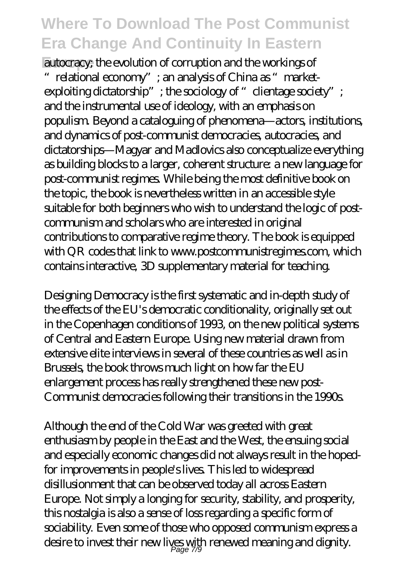**Europe** autocracy; the evolution of corruption and the workings of "relational economy"; an analysis of China as "market $e$ xploiting dictatorship"; the sociology of "clientage society"; and the instrumental use of ideology, with an emphasis on populism. Beyond a cataloguing of phenomena—actors, institutions, and dynamics of post-communist democracies, autocracies, and dictatorships—Magyar and Madlovics also conceptualize everything as building blocks to a larger, coherent structure: a new language for post-communist regimes. While being the most definitive book on the topic, the book is nevertheless written in an accessible style suitable for both beginners who wish to understand the logic of postcommunism and scholars who are interested in original contributions to comparative regime theory. The book is equipped with QR codes that link to www.postcommunistregimes.com, which contains interactive, 3D supplementary material for teaching.

Designing Democracy is the first systematic and in-depth study of the effects of the EU's democratic conditionality, originally set out in the Copenhagen conditions of 1993, on the new political systems of Central and Eastern Europe. Using new material drawn from extensive elite interviews in several of these countries as well as in Brussels, the book throws much light on how far the EU enlargement process has really strengthened these new post-Communist democracies following their transitions in the 1990s.

Although the end of the Cold War was greeted with great enthusiasm by people in the East and the West, the ensuing social and especially economic changes did not always result in the hopedfor improvements in people's lives. This led to widespread disillusionment that can be observed today all across Eastern Europe. Not simply a longing for security, stability, and prosperity, this nostalgia is also a sense of loss regarding a specific form of sociability. Even some of those who opposed communism express a desire to invest their new lives with renewed meaning and dignity. Page 7/9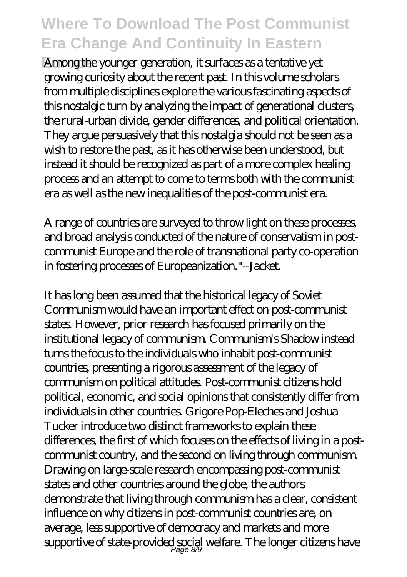**Europe** Among the younger generation, it surfaces as a tentative yet growing curiosity about the recent past. In this volume scholars from multiple disciplines explore the various fascinating aspects of this nostalgic turn by analyzing the impact of generational clusters, the rural-urban divide, gender differences, and political orientation. They argue persuasively that this nostalgia should not be seen as a wish to restore the past, as it has otherwise been understood, but instead it should be recognized as part of a more complex healing process and an attempt to come to terms both with the communist era as well as the new inequalities of the post-communist era.

A range of countries are surveyed to throw light on these processes, and broad analysis conducted of the nature of conservatism in postcommunist Europe and the role of transnational party co-operation in fostering processes of Europeanization."--Jacket.

It has long been assumed that the historical legacy of Soviet Communism would have an important effect on post-communist states. However, prior research has focused primarily on the institutional legacy of communism. Communism's Shadow instead turns the focus to the individuals who inhabit post-communist countries, presenting a rigorous assessment of the legacy of communism on political attitudes. Post-communist citizens hold political, economic, and social opinions that consistently differ from individuals in other countries. Grigore Pop-Eleches and Joshua Tucker introduce two distinct frameworks to explain these differences, the first of which focuses on the effects of living in a postcommunist country, and the second on living through communism. Drawing on large-scale research encompassing post-communist states and other countries around the globe, the authors demonstrate that living through communism has a clear, consistent influence on why citizens in post-communist countries are, on average, less supportive of democracy and markets and more  ${\rm supportive}$  of state-provided social welfare. The longer citizens have